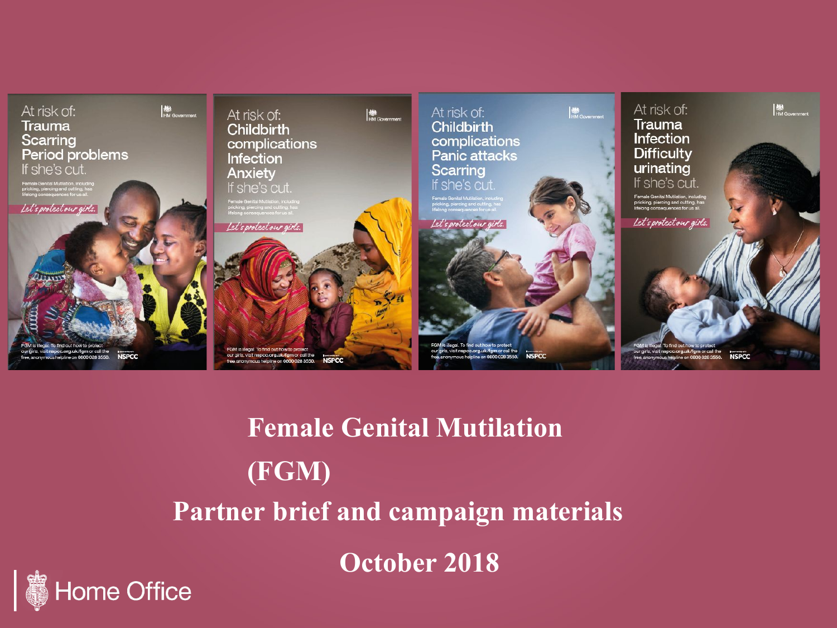

**Female Genital Mutilation (FGM) Partner brief and campaign materials**

**October 2018**

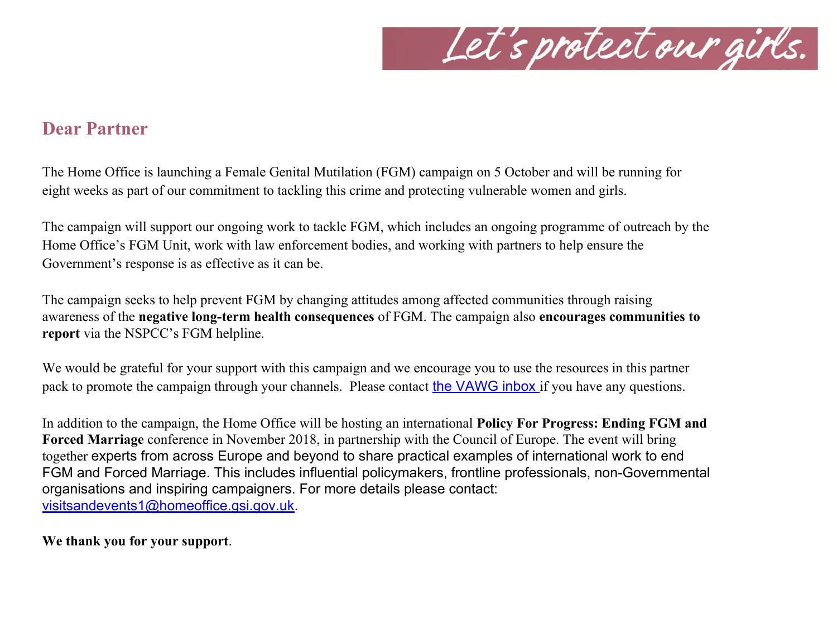

## **Dear Partner**

The Home Office is launching a Female Genital Mutilation (FGM) campaign on 5 October and will be running for eight weeks as part of our commitment to tackling this crime and protecting vulnerable women and girls.

The campaign will support our ongoing work to tackle FGM, which includes an ongoing programme of outreach by the Home Office's FGM Unit, work with law enforcement bodies, and working with partners to help ensure the Government's response is as effective as it can be.

The campaign seeks to help prevent FGM by changing attitudes among affected communities through raising awareness of the **negative long-term health consequences** of FGM. The campaign also **encourages communities to report** via the NSPCC's FGM helpline.

We would be grateful for your support with this campaign and we encourage you to use the resources in this partner pack to promote the campaign through your channels. Please contact the VAWG inbox if you have any questions.

In addition to the campaign, the Home Office will be hosting an international **Policy For Progress: Ending FGM and Forced Marriage** conference in November 2018, in partnership with the Council of Europe. The event will bring together experts from across Europe and beyond to share practical examples of international work to end FGM and Forced Marriage. This includes influential policymakers, frontline professionals, non-Governmental organisations and inspiring campaigners. For more details please contact: visitsandevents1@homeoffice.gsi.gov.uk.

**We thank you for your support**.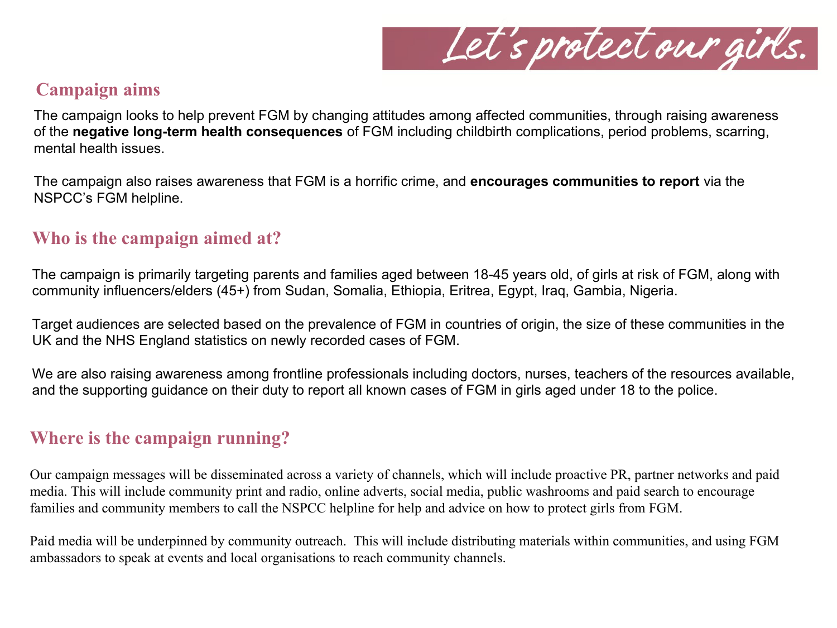

## **Campaign aims**

The campaign looks to help prevent FGM by changing attitudes among affected communities, through raising awareness of the **negative long-term health consequences** of FGM including childbirth complications, period problems, scarring, mental health issues.

The campaign also raises awareness that FGM is a horrific crime, and **encourages communities to report** via the NSPCC's FGM helpline.

## **Who is the campaign aimed at?**

The campaign is primarily targeting parents and families aged between 18-45 years old, of girls at risk of FGM, along with community influencers/elders (45+) from Sudan, Somalia, Ethiopia, Eritrea, Egypt, Iraq, Gambia, Nigeria.

Target audiences are selected based on the prevalence of FGM in countries of origin, the size of these communities in the UK and the NHS England statistics on newly recorded cases of FGM.

We are also raising awareness among frontline professionals including doctors, nurses, teachers of the resources available, and the supporting guidance on their duty to report all known cases of FGM in girls aged under 18 to the police.

## **Where is the campaign running?**

Our campaign messages will be disseminated across a variety of channels, which will include proactive PR, partner networks and paid media. This will include community print and radio, online adverts, social media, public washrooms and paid search to encourage families and community members to call the NSPCC helpline for help and advice on how to protect girls from FGM.

Paid media will be underpinned by community outreach. This will include distributing materials within communities, and using FGM ambassadors to speak at events and local organisations to reach community channels.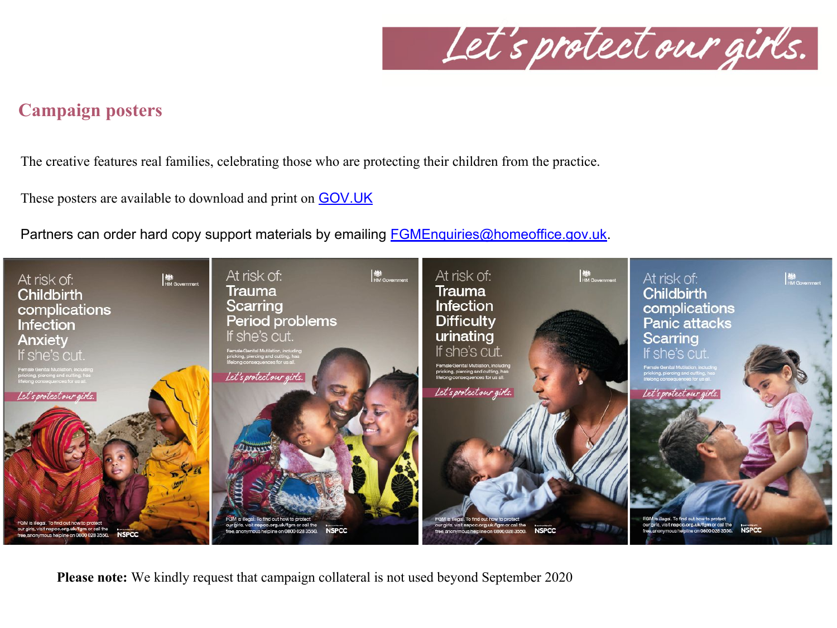Let's protect our girls.

## **Campaign posters**

The creative features real families, celebrating those who are protecting their children from the practice.

These posters are available to download and print on GOV.UK

Partners can order hard copy support materials by emailing **FGMEnquiries@homeoffice.gov.uk.** 



**Please note:** We kindly request that campaign collateral is not used beyond September 2020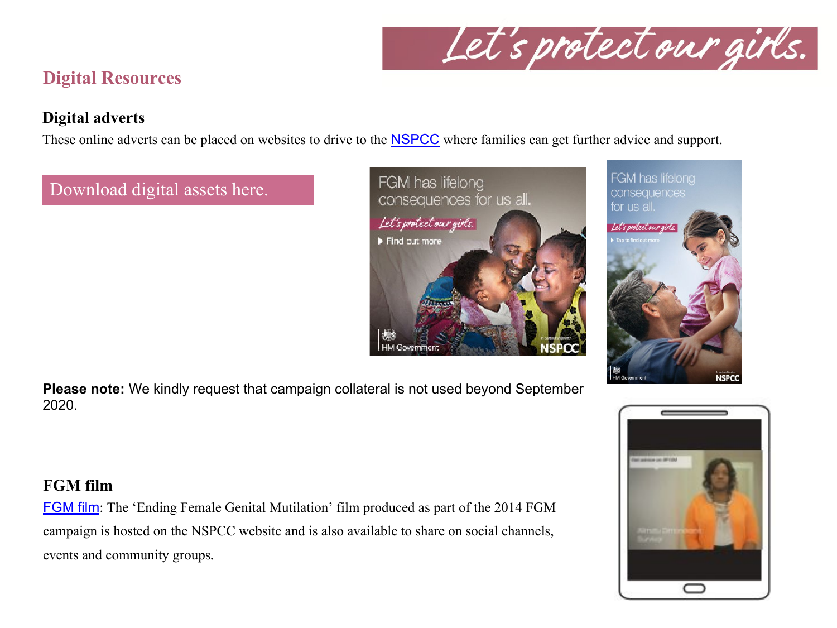

# **Digital Resources**

### **Digital adverts**

These online adverts can be placed on websites to drive to the **NSPCC** where families can get further advice and support.

## Download digital assets here.





**Please note:** We kindly request that campaign collateral is not used beyond September 2020.

### **FGM film**

FGM film: The 'Ending Female Genital Mutilation' film produced as part of the 2014 FGM campaign is hosted on the NSPCC website and is also available to share on social channels, events and community groups.

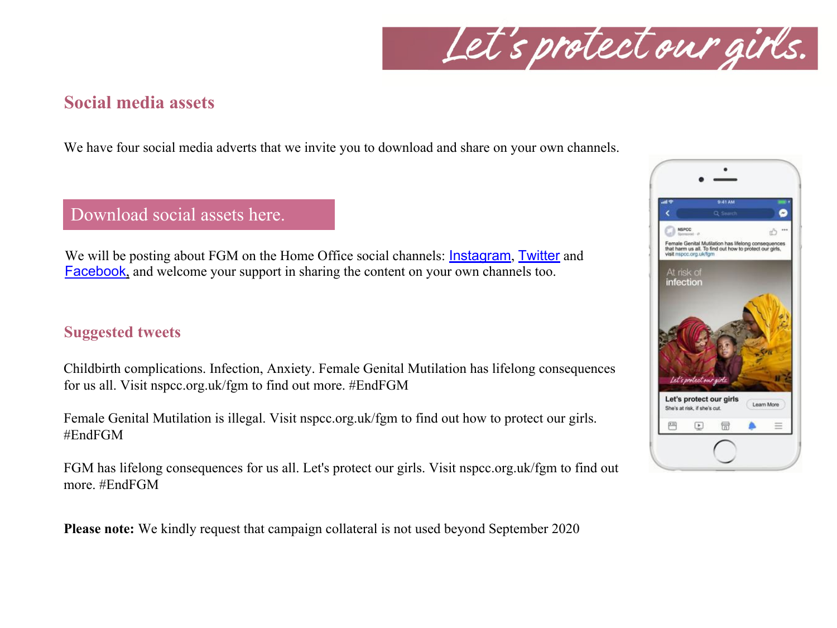Let's protect our girls.

## **Social media assets**

We have four social media adverts that we invite you to download and share on your own channels.

Download social assets here.

We will be posting about FGM on the Home Office social channels: **Instagram, Twitter** and Facebook, and welcome your support in sharing the content on your own channels too.

### **Suggested tweets**

Childbirth complications. Infection, Anxiety. Female Genital Mutilation has lifelong consequences for us all. Visit nspcc.org.uk/fgm to find out more. #EndFGM

Female Genital Mutilation is illegal. Visit nspcc.org.uk/fgm to find out how to protect our girls. #EndFGM

FGM has lifelong consequences for us all. Let's protect our girls. Visit nspcc.org.uk/fgm to find out more. #EndFGM

**Please note:** We kindly request that campaign collateral is not used beyond September 2020

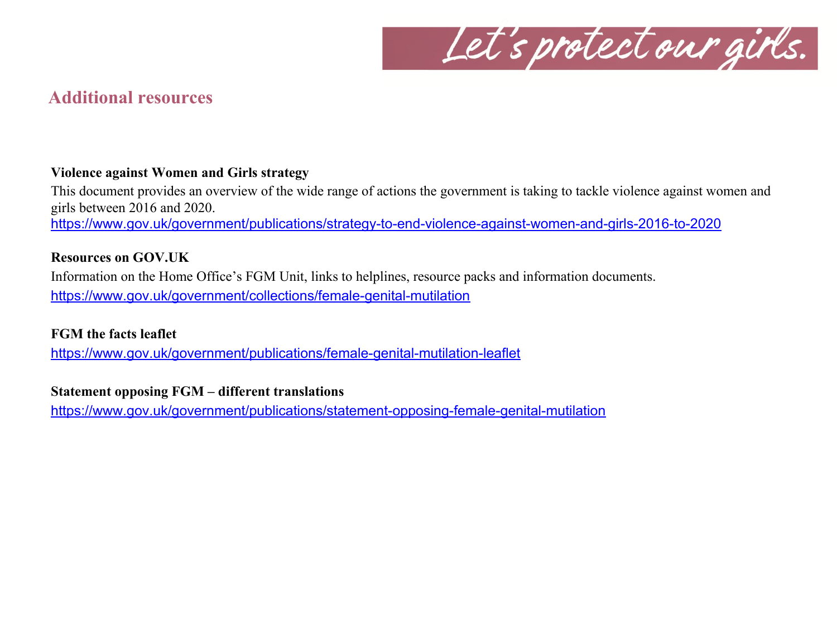

## **Additional resources**

#### **Violence against Women and Girls strategy**

This document provides an overview of the wide range of actions the government is taking to tackle violence against women and girls between 2016 and 2020.

https://www.gov.uk/government/publications/strategy-to-end-violence-against-women-and-girls-2016-to-2020

#### **Resources on GOV.UK**

Information on the Home Office's FGM Unit, links to helplines, resource packs and information documents. https://www.gov.uk/government/collections/female-genital-mutilation

#### **FGM the facts leaflet**

https://www.gov.uk/government/publications/female-genital-mutilation-leaflet

#### **Statement opposing FGM – different translations**

https://www.gov.uk/government/publications/statement-opposing-female-genital-mutilation